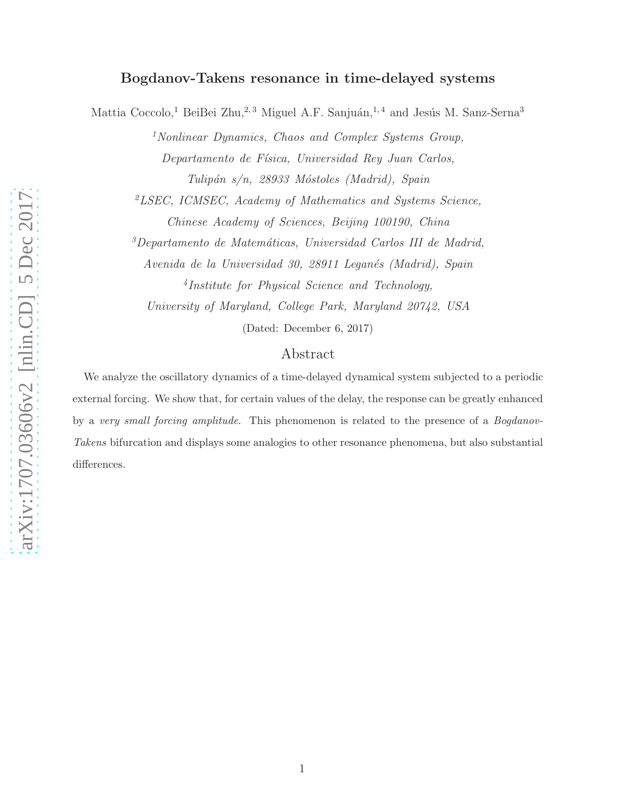# Bogdanov-Takens resonance in time-delayed systems

Mattia Coccolo,<sup>1</sup> BeiBei Zhu,<sup>2, 3</sup> Miguel A.F. Sanjuán,<sup>1, 4</sup> and Jesús M. Sanz-Serna<sup>3</sup>

<sup>1</sup>Nonlinear Dynamics, Chaos and Complex Systems Group, Departamento de Física, Universidad Rey Juan Carlos, Tulipán s/n, 28933 Móstoles (Madrid), Spain

<sup>2</sup>LSEC, ICMSEC, Academy of Mathematics and Systems Science, Chinese Academy of Sciences, Beijing 100190, China

 ${}^{3}$ Departamento de Matemáticas, Universidad Carlos III de Madrid,

Avenida de la Universidad 30, 28911 Leganés (Madrid), Spain

4 Institute for Physical Science and Technology,

University of Maryland, College Park, Maryland 20742, USA

(Dated: December 6, 2017)

# Abstract

We analyze the oscillatory dynamics of a time-delayed dynamical system subjected to a periodic external forcing. We show that, for certain values of the delay, the response can be greatly enhanced by a very small forcing amplitude. This phenomenon is related to the presence of a Bogdanov-Takens bifurcation and displays some analogies to other resonance phenomena, but also substantial differences.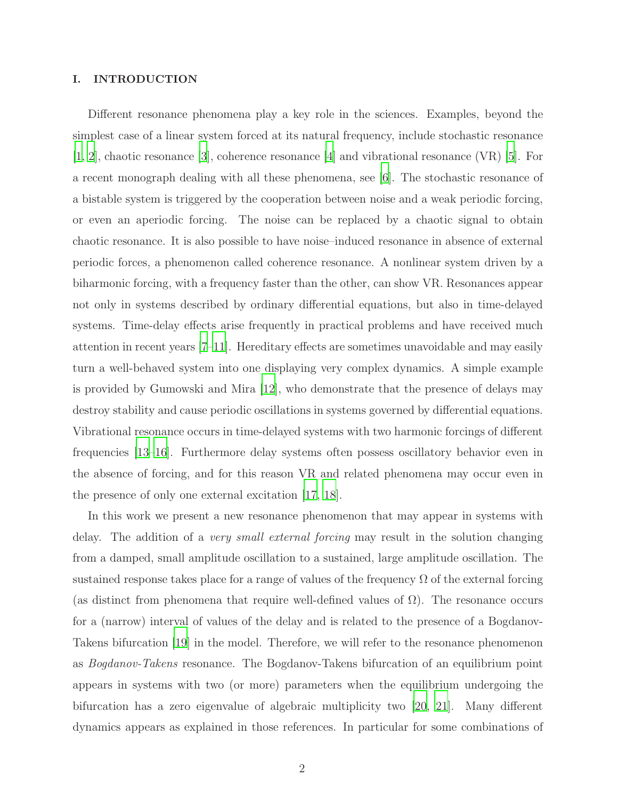### I. INTRODUCTION

Different resonance phenomena play a key role in the sciences. Examples, beyond the simplest case of a linear system forced at its natural frequency, include stochastic resonance [\[1](#page-13-0), [2\]](#page-13-1), chaotic resonance [\[3](#page-13-2)], coherence resonance [\[4\]](#page-13-3) and vibrational resonance (VR) [\[5\]](#page-13-4). For a recent monograph dealing with all these phenomena, see [\[6\]](#page-13-5). The stochastic resonance of a bistable system is triggered by the cooperation between noise and a weak periodic forcing, or even an aperiodic forcing. The noise can be replaced by a chaotic signal to obtain chaotic resonance. It is also possible to have noise–induced resonance in absence of external periodic forces, a phenomenon called coherence resonance. A nonlinear system driven by a biharmonic forcing, with a frequency faster than the other, can show VR. Resonances appear not only in systems described by ordinary differential equations, but also in time-delayed systems. Time-delay effects arise frequently in practical problems and have received much attention in recent years  $[7-11]$ . Hereditary effects are sometimes unavoidable and may easily turn a well-behaved system into one displaying very complex dynamics. A simple example is provided by Gumowski and Mira [\[12\]](#page-13-8), who demonstrate that the presence of delays may destroy stability and cause periodic oscillations in systems governed by differential equations. Vibrational resonance occurs in time-delayed systems with two harmonic forcings of different frequencies [\[13](#page-13-9)[–16](#page-14-0)]. Furthermore delay systems often possess oscillatory behavior even in the absence of forcing, and for this reason VR and related phenomena may occur even in the presence of only one external excitation [\[17](#page-14-1), [18\]](#page-14-2).

In this work we present a new resonance phenomenon that may appear in systems with delay. The addition of a *very small external forcing* may result in the solution changing from a damped, small amplitude oscillation to a sustained, large amplitude oscillation. The sustained response takes place for a range of values of the frequency  $\Omega$  of the external forcing (as distinct from phenomena that require well-defined values of  $\Omega$ ). The resonance occurs for a (narrow) interval of values of the delay and is related to the presence of a Bogdanov-Takens bifurcation [\[19](#page-14-3)] in the model. Therefore, we will refer to the resonance phenomenon as Bogdanov-Takens resonance. The Bogdanov-Takens bifurcation of an equilibrium point appears in systems with two (or more) parameters when the equilibrium undergoing the bifurcation has a zero eigenvalue of algebraic multiplicity two [\[20,](#page-14-4) [21\]](#page-14-5). Many different dynamics appears as explained in those references. In particular for some combinations of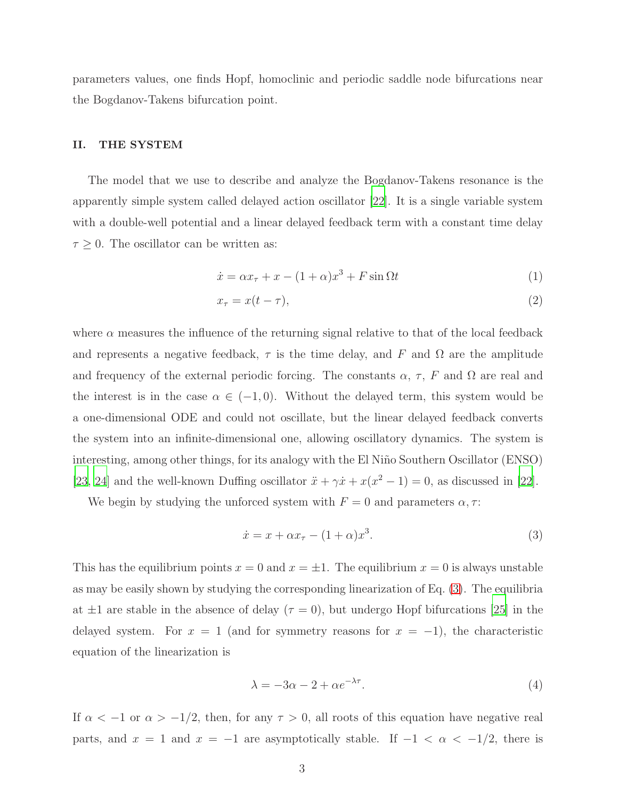parameters values, one finds Hopf, homoclinic and periodic saddle node bifurcations near the Bogdanov-Takens bifurcation point.

#### II. THE SYSTEM

The model that we use to describe and analyze the Bogdanov-Takens resonance is the apparently simple system called delayed action oscillator [\[22\]](#page-14-6). It is a single variable system with a double-well potential and a linear delayed feedback term with a constant time delay  $\tau \geq 0$ . The oscillator can be written as:

<span id="page-2-2"></span>
$$
\dot{x} = \alpha x_{\tau} + x - (1 + \alpha)x^3 + F \sin \Omega t \tag{1}
$$

$$
x_{\tau} = x(t - \tau),\tag{2}
$$

where  $\alpha$  measures the influence of the returning signal relative to that of the local feedback and represents a negative feedback,  $\tau$  is the time delay, and F and  $\Omega$  are the amplitude and frequency of the external periodic forcing. The constants  $\alpha$ ,  $\tau$ ,  $F$  and  $\Omega$  are real and the interest is in the case  $\alpha \in (-1,0)$ . Without the delayed term, this system would be a one-dimensional ODE and could not oscillate, but the linear delayed feedback converts the system into an infinite-dimensional one, allowing oscillatory dynamics. The system is interesting, among other things, for its analogy with the El Niño Southern Oscillator (ENSO) [\[23](#page-14-7), [24\]](#page-14-8) and the well-known Duffing oscillator  $\ddot{x} + \gamma \dot{x} + x(x^2 - 1) = 0$ , as discussed in [\[22\]](#page-14-6).

We begin by studying the unforced system with  $F = 0$  and parameters  $\alpha, \tau$ :

<span id="page-2-0"></span>
$$
\dot{x} = x + \alpha x_{\tau} - (1 + \alpha)x^3. \tag{3}
$$

This has the equilibrium points  $x = 0$  and  $x = \pm 1$ . The equilibrium  $x = 0$  is always unstable as may be easily shown by studying the corresponding linearization of Eq. [\(3\)](#page-2-0). The equilibria at  $\pm 1$  are stable in the absence of delay ( $\tau = 0$ ), but undergo Hopf bifurcations [\[25\]](#page-14-9) in the delayed system. For  $x = 1$  (and for symmetry reasons for  $x = -1$ ), the characteristic equation of the linearization is

<span id="page-2-1"></span>
$$
\lambda = -3\alpha - 2 + \alpha e^{-\lambda \tau}.\tag{4}
$$

If  $\alpha < -1$  or  $\alpha > -1/2$ , then, for any  $\tau > 0$ , all roots of this equation have negative real parts, and  $x = 1$  and  $x = -1$  are asymptotically stable. If  $-1 < \alpha < -1/2$ , there is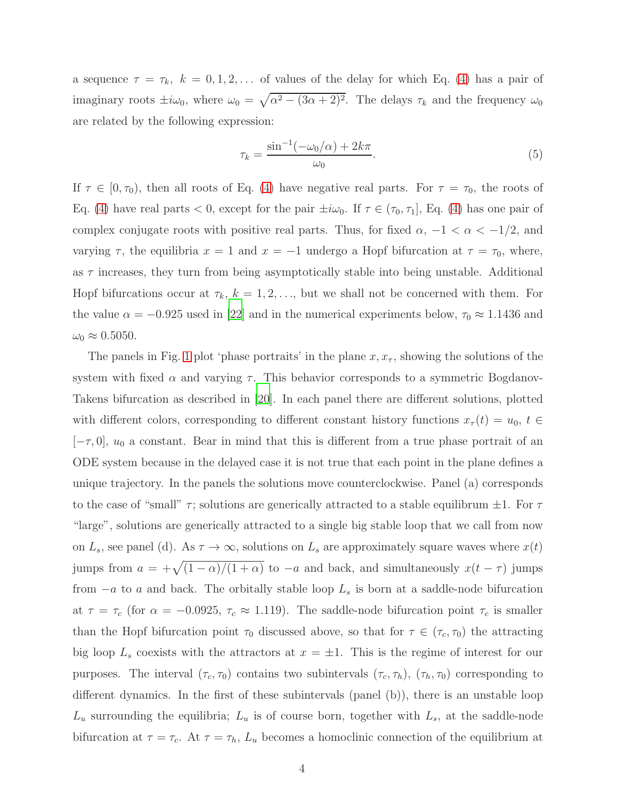a sequence  $\tau = \tau_k$ ,  $k = 0, 1, 2, \ldots$  of values of the delay for which Eq. [\(4\)](#page-2-1) has a pair of imaginary roots  $\pm i\omega_0$ , where  $\omega_0 = \sqrt{\alpha^2 - (3\alpha + 2)^2}$ . The delays  $\tau_k$  and the frequency  $\omega_0$ are related by the following expression:

<span id="page-3-0"></span>
$$
\tau_k = \frac{\sin^{-1}(-\omega_0/\alpha) + 2k\pi}{\omega_0}.\tag{5}
$$

If  $\tau \in [0, \tau_0)$ , then all roots of Eq. [\(4\)](#page-2-1) have negative real parts. For  $\tau = \tau_0$ , the roots of Eq. [\(4\)](#page-2-1) have real parts  $< 0$ , except for the pair  $\pm i\omega_0$ . If  $\tau \in (\tau_0, \tau_1]$ , Eq. (4) has one pair of complex conjugate roots with positive real parts. Thus, for fixed  $\alpha$ ,  $-1 < \alpha < -1/2$ , and varying  $\tau$ , the equilibria  $x = 1$  and  $x = -1$  undergo a Hopf bifurcation at  $\tau = \tau_0$ , where, as  $\tau$  increases, they turn from being asymptotically stable into being unstable. Additional Hopf bifurcations occur at  $\tau_k$ ,  $k = 1, 2, \ldots$ , but we shall not be concerned with them. For the value  $\alpha = -0.925$  used in [\[22\]](#page-14-6) and in the numerical experiments below,  $\tau_0 \approx 1.1436$  and  $\omega_0 \approx 0.5050$ .

The panels in Fig. [1](#page-4-0) plot 'phase portraits' in the plane  $x, x<sub>\tau</sub>$ , showing the solutions of the system with fixed  $\alpha$  and varying  $\tau$ . This behavior corresponds to a symmetric Bogdanov-Takens bifurcation as described in [\[20](#page-14-4)]. In each panel there are different solutions, plotted with different colors, corresponding to different constant history functions  $x_{\tau}(t) = u_0, t \in$  $[-\tau, 0]$ ,  $u_0$  a constant. Bear in mind that this is different from a true phase portrait of an ODE system because in the delayed case it is not true that each point in the plane defines a unique trajectory. In the panels the solutions move counterclockwise. Panel (a) corresponds to the case of "small"  $\tau$ ; solutions are generically attracted to a stable equilibrum  $\pm 1$ . For  $\tau$ "large", solutions are generically attracted to a single big stable loop that we call from now on  $L_s$ , see panel (d). As  $\tau \to \infty$ , solutions on  $L_s$  are approximately square waves where  $x(t)$ jumps from  $a = +\sqrt{(1-\alpha)/(1+\alpha)}$  to  $-a$  and back, and simultaneously  $x(t - \tau)$  jumps from  $-a$  to a and back. The orbitally stable loop  $L_s$  is born at a saddle-node bifurcation at  $\tau = \tau_c$  (for  $\alpha = -0.0925$ ,  $\tau_c \approx 1.119$ ). The saddle-node bifurcation point  $\tau_c$  is smaller than the Hopf bifurcation point  $\tau_0$  discussed above, so that for  $\tau \in (\tau_c, \tau_0)$  the attracting big loop  $L_s$  coexists with the attractors at  $x = \pm 1$ . This is the regime of interest for our purposes. The interval  $(\tau_c, \tau_0)$  contains two subintervals  $(\tau_c, \tau_h)$ ,  $(\tau_h, \tau_0)$  corresponding to different dynamics. In the first of these subintervals (panel (b)), there is an unstable loop  $L_u$  surrounding the equilibria;  $L_u$  is of course born, together with  $L_s$ , at the saddle-node bifurcation at  $\tau = \tau_c$ . At  $\tau = \tau_h$ ,  $L_u$  becomes a homoclinic connection of the equilibrium at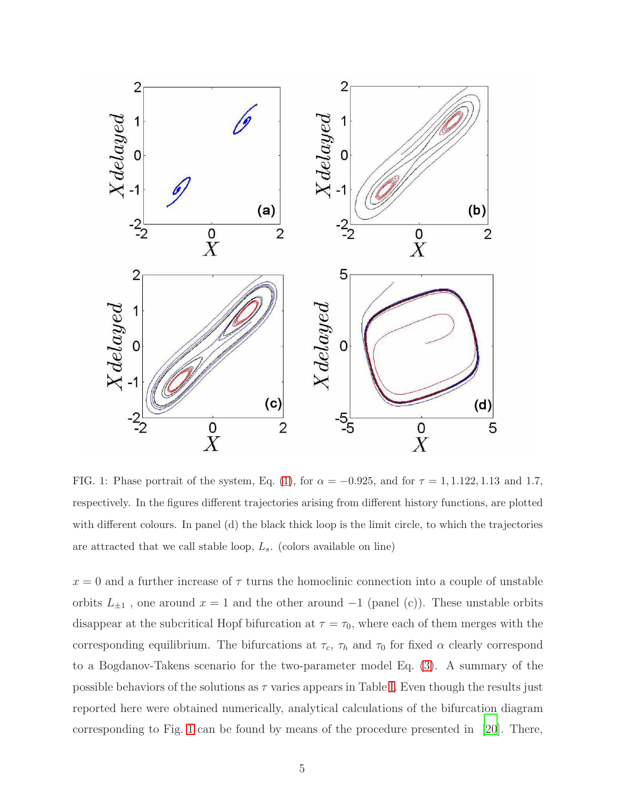

<span id="page-4-0"></span>FIG. 1: Phase portrait of the system, Eq. [\(1\)](#page-2-2), for  $\alpha = -0.925$ , and for  $\tau = 1, 1.122, 1.13$  and 1.7, respectively. In the figures different trajectories arising from different history functions, are plotted with different colours. In panel (d) the black thick loop is the limit circle, to which the trajectories are attracted that we call stable loop,  $L_s$ . (colors available on line)

 $x = 0$  and a further increase of  $\tau$  turns the homoclinic connection into a couple of unstable orbits  $L_{\pm 1}$ , one around  $x = 1$  and the other around  $-1$  (panel (c)). These unstable orbits disappear at the subcritical Hopf bifurcation at  $\tau = \tau_0$ , where each of them merges with the corresponding equilibrium. The bifurcations at  $\tau_c$ ,  $\tau_h$  and  $\tau_0$  for fixed  $\alpha$  clearly correspond to a Bogdanov-Takens scenario for the two-parameter model Eq. [\(3\)](#page-2-0). A summary of the possible behaviors of the solutions as  $\tau$  varies appears in Table [I.](#page-5-0) Even though the results just reported here were obtained numerically, analytical calculations of the bifurcation diagram corresponding to Fig. [1](#page-4-0) can be found by means of the procedure presented in [\[20\]](#page-14-4). There,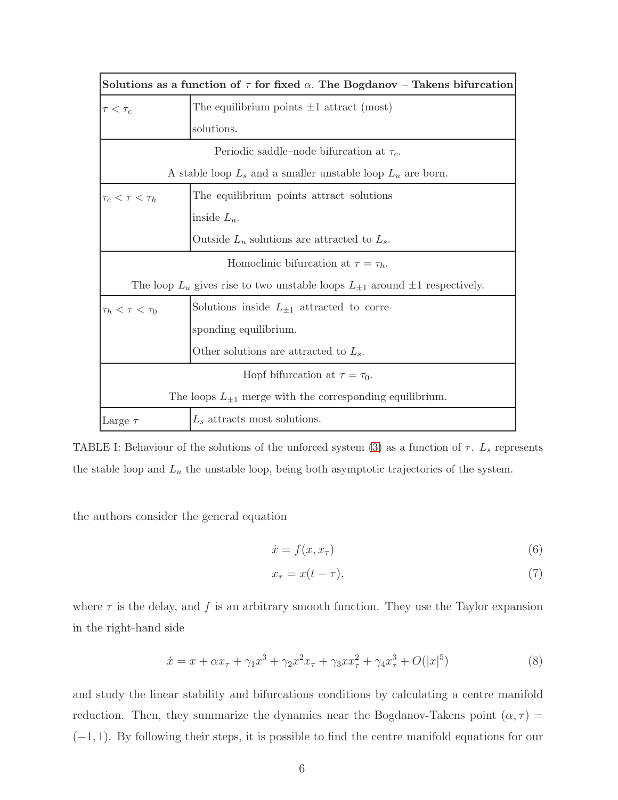| Solutions as a function of $\tau$ for fixed $\alpha$ . The Bogdanov – Takens bifurcation |                                                  |
|------------------------------------------------------------------------------------------|--------------------------------------------------|
| $\tau < \tau_c$                                                                          | The equilibrium points $\pm 1$ attract (most)    |
|                                                                                          | solutions.                                       |
| Periodic saddle–node bifurcation at $\tau_c$ .                                           |                                                  |
| A stable loop $L_s$ and a smaller unstable loop $L_u$ are born.                          |                                                  |
| $\tau_c < \tau < \tau_h$                                                                 | The equilibrium points attract solutions         |
|                                                                                          | inside $L_u$ .                                   |
|                                                                                          | Outside $L_u$ solutions are attracted to $L_s$ . |
| Homoclinic bifurcation at $\tau = \tau_h$ .                                              |                                                  |
| The loop $L_u$ gives rise to two unstable loops $L_{\pm 1}$ around $\pm 1$ respectively. |                                                  |
| $\tau_h < \tau < \tau_0$                                                                 | Solutions inside $L_{\pm 1}$ attracted to corre- |
|                                                                                          | sponding equilibrium.                            |
|                                                                                          | Other solutions are attracted to $L_s$ .         |
| Hopf bifurcation at $\tau = \tau_0$ .                                                    |                                                  |
| The loops $L_{\pm 1}$ merge with the corresponding equilibrium.                          |                                                  |
| Large $\tau$                                                                             | $L_s$ attracts most solutions.                   |

<span id="page-5-0"></span>TABLE I: Behaviour of the solutions of the unforced system [\(3\)](#page-2-0) as a function of  $\tau$ .  $L_s$  represents the stable loop and  $L<sub>u</sub>$  the unstable loop, being both asymptotic trajectories of the system.

the authors consider the general equation

$$
\dot{x} = f(x, x_{\tau})\tag{6}
$$

$$
x_{\tau} = x(t - \tau),\tag{7}
$$

where  $\tau$  is the delay, and  $f$  is an arbitrary smooth function. They use the Taylor expansion in the right-hand side

$$
\dot{x} = x + \alpha x_{\tau} + \gamma_1 x^3 + \gamma_2 x^2 x_{\tau} + \gamma_3 x x_{\tau}^2 + \gamma_4 x_{\tau}^3 + O(|x|^5)
$$
(8)

and study the linear stability and bifurcations conditions by calculating a centre manifold reduction. Then, they summarize the dynamics near the Bogdanov-Takens point  $(\alpha, \tau)$  = (−1, 1). By following their steps, it is possible to find the centre manifold equations for our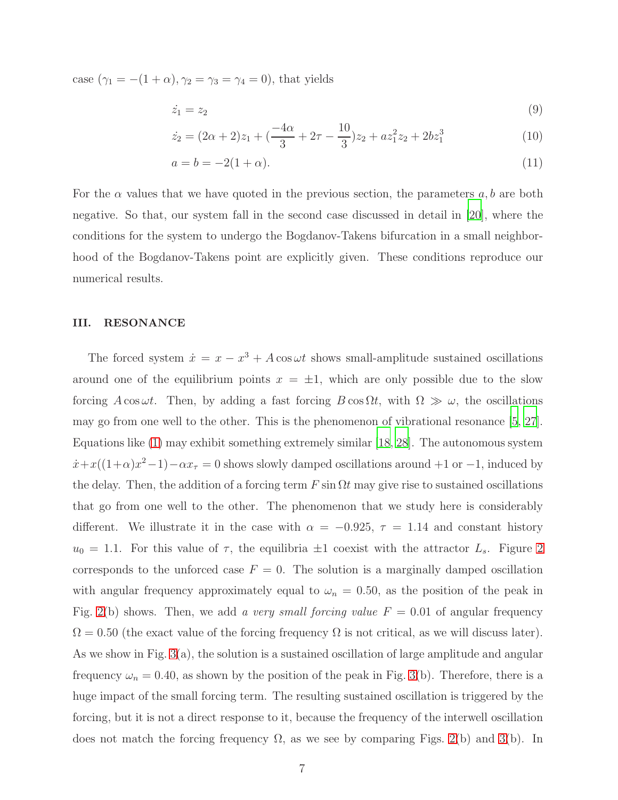case  $(\gamma_1 = -(1 + \alpha), \gamma_2 = \gamma_3 = \gamma_4 = 0)$ , that yields

$$
\dot{z}_1 = z_2 \tag{9}
$$

$$
\dot{z}_2 = (2\alpha + 2)z_1 + \left(\frac{-4\alpha}{3} + 2\tau - \frac{10}{3}\right)z_2 + az_1^2z_2 + 2bz_1^3\tag{10}
$$

$$
a = b = -2(1 + \alpha).
$$
 (11)

For the  $\alpha$  values that we have quoted in the previous section, the parameters  $a, b$  are both negative. So that, our system fall in the second case discussed in detail in [\[20\]](#page-14-4), where the conditions for the system to undergo the Bogdanov-Takens bifurcation in a small neighborhood of the Bogdanov-Takens point are explicitly given. These conditions reproduce our numerical results.

### III. RESONANCE

The forced system  $\dot{x} = x - x^3 + A \cos \omega t$  shows small-amplitude sustained oscillations around one of the equilibrium points  $x = \pm 1$ , which are only possible due to the slow forcing  $A \cos \omega t$ . Then, by adding a fast forcing  $B \cos \Omega t$ , with  $\Omega \gg \omega$ , the oscillations may go from one well to the other. This is the phenomenon of vibrational resonance [\[5](#page-13-4), [27\]](#page-14-10). Equations like [\(1\)](#page-2-2) may exhibit something extremely similar [\[18,](#page-14-2) [28\]](#page-14-11). The autonomous system  $\dot{x} + x((1+\alpha)x^2 - 1) - \alpha x_{\tau} = 0$  shows slowly damped oscillations around +1 or -1, induced by the delay. Then, the addition of a forcing term F sin  $\Omega t$  may give rise to sustained oscillations that go from one well to the other. The phenomenon that we study here is considerably different. We illustrate it in the case with  $\alpha = -0.925$ ,  $\tau = 1.14$  and constant history  $u_0 = 1.1$ . For this value of  $\tau$ , the equilibria  $\pm 1$  coexist with the attractor  $L_s$ . Figure [2](#page-7-0) corresponds to the unforced case  $F = 0$ . The solution is a marginally damped oscillation with angular frequency approximately equal to  $\omega_n = 0.50$ , as the position of the peak in Fig. [2\(](#page-7-0)b) shows. Then, we add a very small forcing value  $F = 0.01$  of angular frequency  $\Omega = 0.50$  (the exact value of the forcing frequency  $\Omega$  is not critical, as we will discuss later). As we show in Fig. [3\(](#page-8-0)a), the solution is a sustained oscillation of large amplitude and angular frequency  $\omega_n = 0.40$ , as shown by the position of the peak in Fig. [3\(](#page-8-0)b). Therefore, there is a huge impact of the small forcing term. The resulting sustained oscillation is triggered by the forcing, but it is not a direct response to it, because the frequency of the interwell oscillation does not match the forcing frequency  $\Omega$ , as we see by comparing Figs. [2\(](#page-7-0)b) and [3\(](#page-8-0)b). In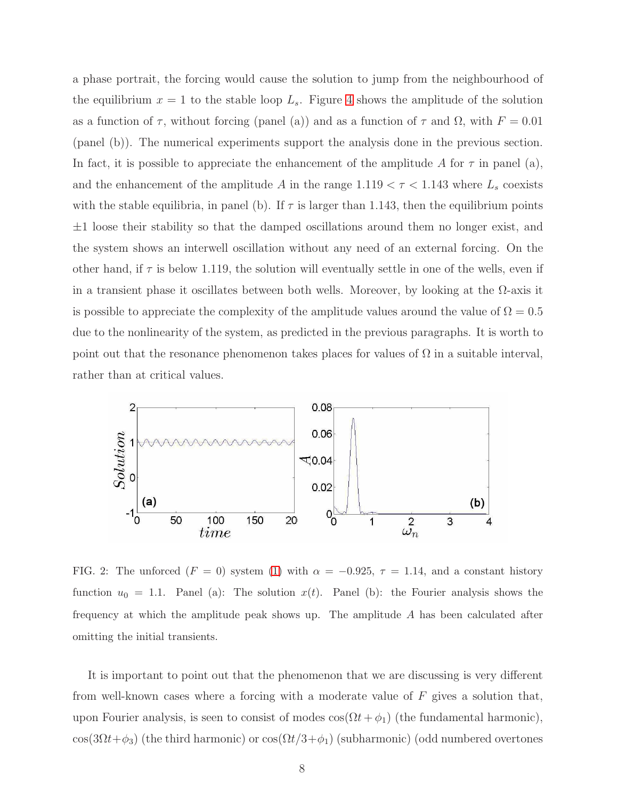a phase portrait, the forcing would cause the solution to jump from the neighbourhood of the equilibrium  $x = 1$  to the stable loop  $L_s$ . Figure [4](#page-8-1) shows the amplitude of the solution as a function of  $\tau$ , without forcing (panel (a)) and as a function of  $\tau$  and  $\Omega$ , with  $F = 0.01$ (panel (b)). The numerical experiments support the analysis done in the previous section. In fact, it is possible to appreciate the enhancement of the amplitude A for  $\tau$  in panel (a), and the enhancement of the amplitude A in the range  $1.119 < \tau < 1.143$  where  $L_s$  coexists with the stable equilibria, in panel (b). If  $\tau$  is larger than 1.143, then the equilibrium points  $\pm 1$  loose their stability so that the damped oscillations around them no longer exist, and the system shows an interwell oscillation without any need of an external forcing. On the other hand, if  $\tau$  is below 1.119, the solution will eventually settle in one of the wells, even if in a transient phase it oscillates between both wells. Moreover, by looking at the  $\Omega$ -axis it is possible to appreciate the complexity of the amplitude values around the value of  $\Omega = 0.5$ due to the nonlinearity of the system, as predicted in the previous paragraphs. It is worth to point out that the resonance phenomenon takes places for values of  $\Omega$  in a suitable interval, rather than at critical values.



<span id="page-7-0"></span>FIG. 2: The unforced  $(F = 0)$  system [\(1\)](#page-2-2) with  $\alpha = -0.925$ ,  $\tau = 1.14$ , and a constant history function  $u_0 = 1.1$ . Panel (a): The solution  $x(t)$ . Panel (b): the Fourier analysis shows the frequency at which the amplitude peak shows up. The amplitude A has been calculated after omitting the initial transients.

It is important to point out that the phenomenon that we are discussing is very different from well-known cases where a forcing with a moderate value of  $F$  gives a solution that, upon Fourier analysis, is seen to consist of modes  $cos(\Omega t + \phi_1)$  (the fundamental harmonic),  $\cos(3\Omega t+\phi_3)$  (the third harmonic) or  $\cos(\Omega t/3+\phi_1)$  (subharmonic) (odd numbered overtones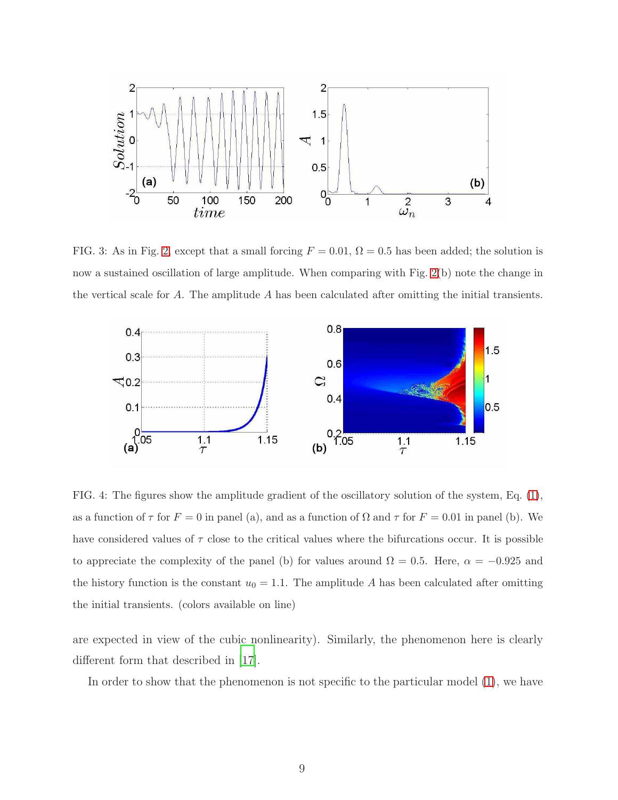

<span id="page-8-0"></span>FIG. 3: As in Fig. [2,](#page-7-0) except that a small forcing  $F = 0.01$ ,  $\Omega = 0.5$  has been added; the solution is now a sustained oscillation of large amplitude. When comparing with Fig. [2\(](#page-7-0)b) note the change in the vertical scale for  $A$ . The amplitude  $A$  has been calculated after omitting the initial transients.



<span id="page-8-1"></span>FIG. 4: The figures show the amplitude gradient of the oscillatory solution of the system, Eq. [\(1\)](#page-2-2), as a function of  $\tau$  for  $F = 0$  in panel (a), and as a function of  $\Omega$  and  $\tau$  for  $F = 0.01$  in panel (b). We have considered values of  $\tau$  close to the critical values where the bifurcations occur. It is possible to appreciate the complexity of the panel (b) for values around  $\Omega = 0.5$ . Here,  $\alpha = -0.925$  and the history function is the constant  $u_0 = 1.1$ . The amplitude A has been calculated after omitting the initial transients. (colors available on line)

are expected in view of the cubic nonlinearity). Similarly, the phenomenon here is clearly different form that described in [\[17\]](#page-14-1).

In order to show that the phenomenon is not specific to the particular model [\(1\)](#page-2-2), we have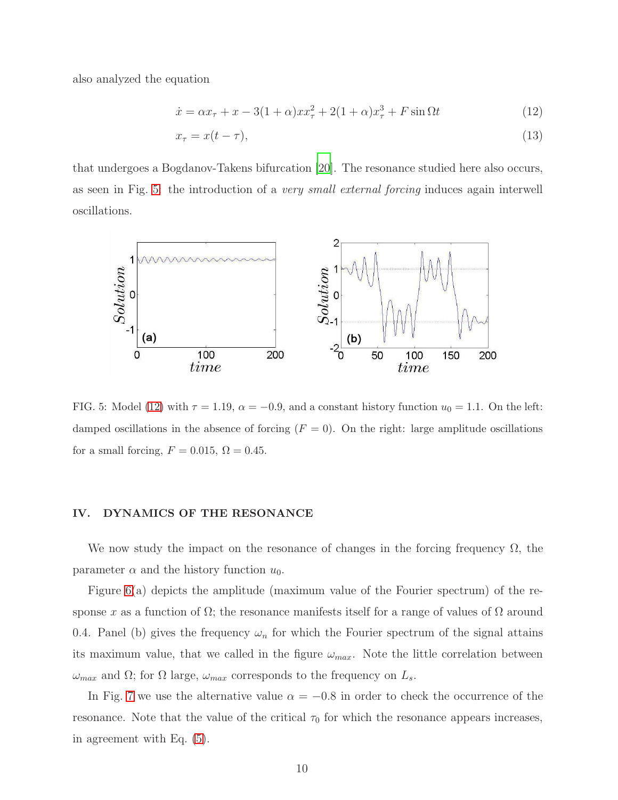also analyzed the equation

<span id="page-9-1"></span>
$$
\dot{x} = \alpha x_{\tau} + x - 3(1 + \alpha)x x_{\tau}^{2} + 2(1 + \alpha)x_{\tau}^{3} + F \sin \Omega t \tag{12}
$$

$$
x_{\tau} = x(t - \tau),\tag{13}
$$

that undergoes a Bogdanov-Takens bifurcation [\[20](#page-14-4)]. The resonance studied here also occurs, as seen in Fig. [5:](#page-9-0) the introduction of a very small external forcing induces again interwell oscillations.



<span id="page-9-0"></span>FIG. 5: Model [\(12\)](#page-9-1) with  $\tau = 1.19$ ,  $\alpha = -0.9$ , and a constant history function  $u_0 = 1.1$ . On the left: damped oscillations in the absence of forcing  $(F = 0)$ . On the right: large amplitude oscillations for a small forcing,  $F = 0.015$ ,  $\Omega = 0.45$ .

### IV. DYNAMICS OF THE RESONANCE

We now study the impact on the resonance of changes in the forcing frequency  $\Omega$ , the parameter  $\alpha$  and the history function  $u_0$ .

Figure [6\(](#page-10-0)a) depicts the amplitude (maximum value of the Fourier spectrum) of the response x as a function of  $\Omega$ ; the resonance manifests itself for a range of values of  $\Omega$  around 0.4. Panel (b) gives the frequency  $\omega_n$  for which the Fourier spectrum of the signal attains its maximum value, that we called in the figure  $\omega_{max}$ . Note the little correlation between  $ω_{max}$  and Ω; for Ω large,  $ω_{max}$  corresponds to the frequency on  $L_s$ .

In Fig. [7](#page-11-0) we use the alternative value  $\alpha = -0.8$  in order to check the occurrence of the resonance. Note that the value of the critical  $\tau_0$  for which the resonance appears increases, in agreement with Eq. [\(5\)](#page-3-0).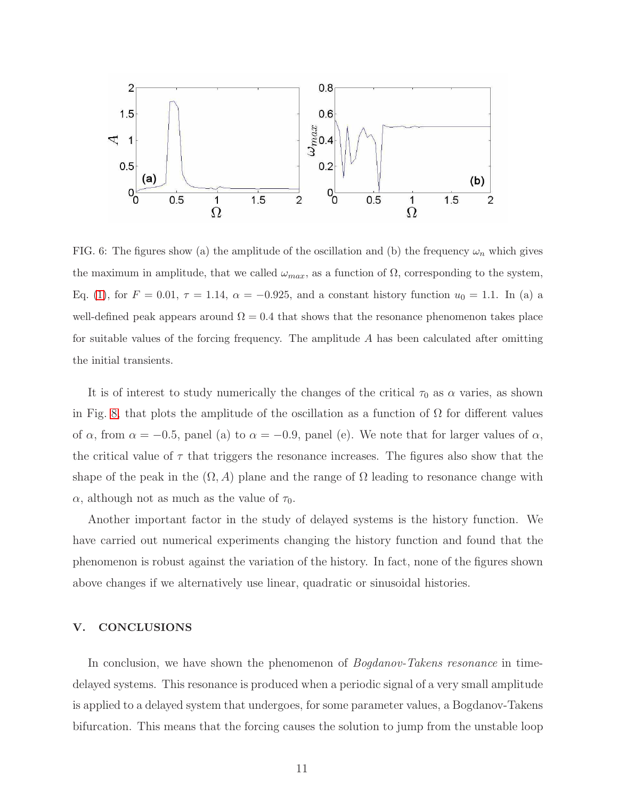

<span id="page-10-0"></span>FIG. 6: The figures show (a) the amplitude of the oscillation and (b) the frequency  $\omega_n$  which gives the maximum in amplitude, that we called  $\omega_{max}$ , as a function of  $\Omega$ , corresponding to the system, Eq. [\(1\)](#page-2-2), for  $F = 0.01$ ,  $\tau = 1.14$ ,  $\alpha = -0.925$ , and a constant history function  $u_0 = 1.1$ . In (a) a well-defined peak appears around  $\Omega = 0.4$  that shows that the resonance phenomenon takes place for suitable values of the forcing frequency. The amplitude  $A$  has been calculated after omitting the initial transients.

It is of interest to study numerically the changes of the critical  $\tau_0$  as  $\alpha$  varies, as shown in Fig. [8,](#page-12-0) that plots the amplitude of the oscillation as a function of  $\Omega$  for different values of  $\alpha$ , from  $\alpha = -0.5$ , panel (a) to  $\alpha = -0.9$ , panel (e). We note that for larger values of  $\alpha$ , the critical value of  $\tau$  that triggers the resonance increases. The figures also show that the shape of the peak in the  $(\Omega, A)$  plane and the range of  $\Omega$  leading to resonance change with  $\alpha$ , although not as much as the value of  $\tau_0$ .

Another important factor in the study of delayed systems is the history function. We have carried out numerical experiments changing the history function and found that the phenomenon is robust against the variation of the history. In fact, none of the figures shown above changes if we alternatively use linear, quadratic or sinusoidal histories.

# V. CONCLUSIONS

In conclusion, we have shown the phenomenon of *Bogdanov-Takens resonance* in timedelayed systems. This resonance is produced when a periodic signal of a very small amplitude is applied to a delayed system that undergoes, for some parameter values, a Bogdanov-Takens bifurcation. This means that the forcing causes the solution to jump from the unstable loop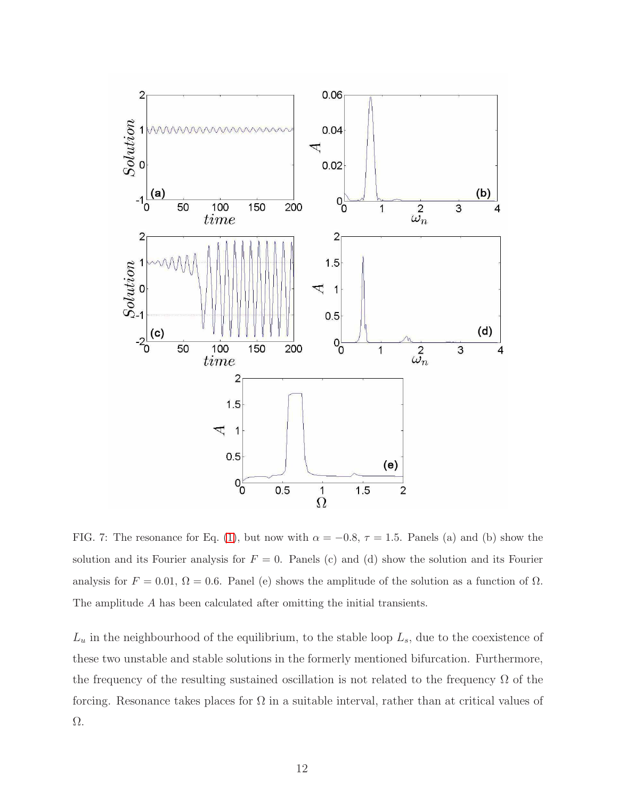

<span id="page-11-0"></span>FIG. 7: The resonance for Eq. [\(1\)](#page-2-2), but now with  $\alpha = -0.8$ ,  $\tau = 1.5$ . Panels (a) and (b) show the solution and its Fourier analysis for  $F = 0$ . Panels (c) and (d) show the solution and its Fourier analysis for  $F = 0.01$ ,  $\Omega = 0.6$ . Panel (e) shows the amplitude of the solution as a function of  $\Omega$ . The amplitude A has been calculated after omitting the initial transients.

 $L_u$  in the neighbourhood of the equilibrium, to the stable loop  $L_s$ , due to the coexistence of these two unstable and stable solutions in the formerly mentioned bifurcation. Furthermore, the frequency of the resulting sustained oscillation is not related to the frequency  $\Omega$  of the forcing. Resonance takes places for  $\Omega$  in a suitable interval, rather than at critical values of Ω.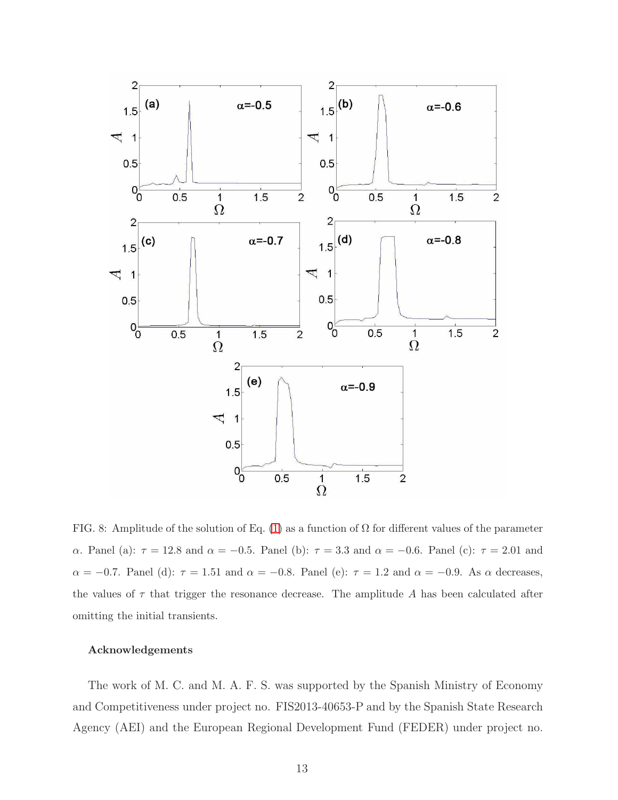

<span id="page-12-0"></span>FIG. 8: Amplitude of the solution of Eq. [\(1\)](#page-2-2) as a function of  $\Omega$  for different values of the parameter α. Panel (a):  $\tau = 12.8$  and  $\alpha = -0.5$ . Panel (b):  $\tau = 3.3$  and  $\alpha = -0.6$ . Panel (c):  $\tau = 2.01$  and  $\alpha = -0.7$ . Panel (d):  $\tau = 1.51$  and  $\alpha = -0.8$ . Panel (e):  $\tau = 1.2$  and  $\alpha = -0.9$ . As  $\alpha$  decreases, the values of  $\tau$  that trigger the resonance decrease. The amplitude A has been calculated after omitting the initial transients.

#### Acknowledgements

The work of M. C. and M. A. F. S. was supported by the Spanish Ministry of Economy and Competitiveness under project no. FIS2013-40653-P and by the Spanish State Research Agency (AEI) and the European Regional Development Fund (FEDER) under project no.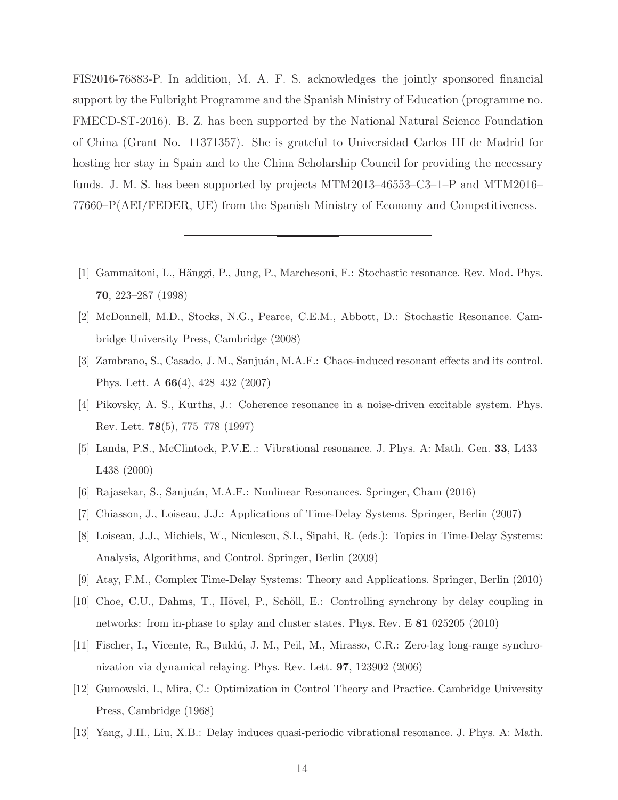FIS2016-76883-P. In addition, M. A. F. S. acknowledges the jointly sponsored financial support by the Fulbright Programme and the Spanish Ministry of Education (programme no. FMECD-ST-2016). B. Z. has been supported by the National Natural Science Foundation of China (Grant No. 11371357). She is grateful to Universidad Carlos III de Madrid for hosting her stay in Spain and to the China Scholarship Council for providing the necessary funds. J. M. S. has been supported by projects MTM2013–46553–C3–1–P and MTM2016– 77660–P(AEI/FEDER, UE) from the Spanish Ministry of Economy and Competitiveness.

- <span id="page-13-0"></span>[1] Gammaitoni, L., Hänggi, P., Jung, P., Marchesoni, F.: Stochastic resonance. Rev. Mod. Phys. 70, 223–287 (1998)
- <span id="page-13-1"></span>[2] McDonnell, M.D., Stocks, N.G., Pearce, C.E.M., Abbott, D.: Stochastic Resonance. Cambridge University Press, Cambridge (2008)
- <span id="page-13-2"></span>[3] Zambrano, S., Casado, J. M., Sanjuán, M.A.F.: Chaos-induced resonant effects and its control. Phys. Lett. A 66(4), 428–432 (2007)
- <span id="page-13-3"></span>[4] Pikovsky, A. S., Kurths, J.: Coherence resonance in a noise-driven excitable system. Phys. Rev. Lett. 78(5), 775–778 (1997)
- <span id="page-13-4"></span>[5] Landa, P.S., McClintock, P.V.E..: Vibrational resonance. J. Phys. A: Math. Gen. 33, L433– L438 (2000)
- <span id="page-13-6"></span><span id="page-13-5"></span>[6] Rajasekar, S., Sanju´an, M.A.F.: Nonlinear Resonances. Springer, Cham (2016)
- [7] Chiasson, J., Loiseau, J.J.: Applications of Time-Delay Systems. Springer, Berlin (2007)
- [8] Loiseau, J.J., Michiels, W., Niculescu, S.I., Sipahi, R. (eds.): Topics in Time-Delay Systems: Analysis, Algorithms, and Control. Springer, Berlin (2009)
- [9] Atay, F.M., Complex Time-Delay Systems: Theory and Applications. Springer, Berlin (2010)
- [10] Choe, C.U., Dahms, T., Hövel, P., Schöll, E.: Controlling synchrony by delay coupling in networks: from in-phase to splay and cluster states. Phys. Rev. E 81 025205 (2010)
- <span id="page-13-7"></span>[11] Fischer, I., Vicente, R., Buld´u, J. M., Peil, M., Mirasso, C.R.: Zero-lag long-range synchronization via dynamical relaying. Phys. Rev. Lett. 97, 123902 (2006)
- <span id="page-13-8"></span>[12] Gumowski, I., Mira, C.: Optimization in Control Theory and Practice. Cambridge University Press, Cambridge (1968)
- <span id="page-13-9"></span>[13] Yang, J.H., Liu, X.B.: Delay induces quasi-periodic vibrational resonance. J. Phys. A: Math.